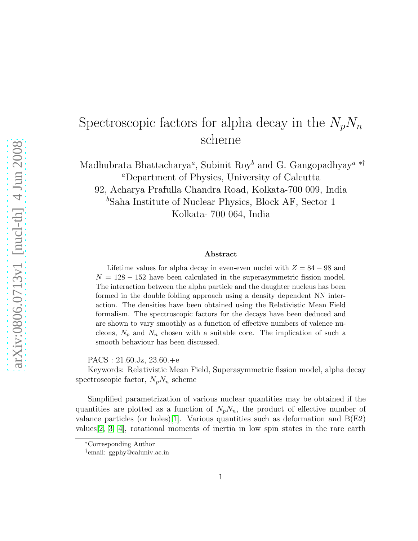## Spectroscopic factors for alpha decay in the  $N_pN_n$ scheme

Madhubrata Bhattacharya<sup>*a*</sup>, Subinit Roy<sup>b</sup> and G. Gangopadhyay<sup>*a*\*†</sup> <sup>a</sup>Department of Physics, University of Calcutta 92, Acharya Prafulla Chandra Road, Kolkata-700 009, India  $b$ Saha Institute of Nuclear Physics, Block AF, Sector 1 Kolkata- 700 064, India

## Abstract

Lifetime values for alpha decay in even-even nuclei with  $Z = 84 - 98$  and  $N = 128 - 152$  have been calculated in the superasymmetric fission model. The interaction between the alpha particle and the daughter nucleus has been formed in the double folding approach using a density dependent NN interaction. The densities have been obtained using the Relativistic Mean Field formalism. The spectroscopic factors for the decays have been deduced and are shown to vary smoothly as a function of effective numbers of valence nucleons,  $N_p$  and  $N_n$  chosen with a suitable core. The implication of such a smooth behaviour has been discussed.

PACS : 21.60.Jz, 23.60.+e

Keywords: Relativistic Mean Field, Superasymmetric fission model, alpha decay spectroscopic factor,  $N_nN_n$  scheme

Simplified parametrization of various nuclear quantities may be obtained if the quantities are plotted as a function of  $N_pN_n$ , the product of effective number of valance particles (or holes)[\[1\]](#page-6-0). Various quantities such as deformation and  $B(E2)$ values[\[2,](#page-6-1) [3,](#page-6-2) [4\]](#page-6-3), rotational moments of inertia in low spin states in the rare earth

<sup>∗</sup>Corresponding Author

<sup>†</sup> email: ggphy@caluniv.ac.in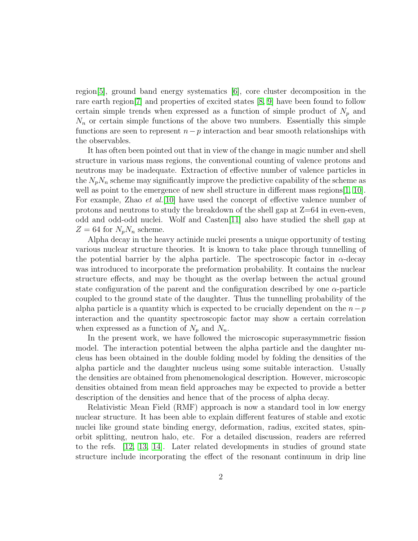region[\[5\]](#page-6-4), ground band energy systematics [\[6\]](#page-6-5), core cluster decomposition in the rare earth region[\[7\]](#page-6-6) and properties of excited states [\[8,](#page-6-7) [9\]](#page-6-8) have been found to follow certain simple trends when expressed as a function of simple product of  $N_p$  and  $N_n$  or certain simple functions of the above two numbers. Essentially this simple functions are seen to represent  $n-p$  interaction and bear smooth relationships with the observables.

It has often been pointed out that in view of the change in magic number and shell structure in various mass regions, the conventional counting of valence protons and neutrons may be inadequate. Extraction of effective number of valence particles in the  $N_nN_n$  scheme may significantly improve the predictive capability of the scheme as well as point to the emergence of new shell structure in different mass regions [\[1,](#page-6-0) [10\]](#page-6-9). For example, Zhao *et al.*[\[10\]](#page-6-9) have used the concept of effective valence number of protons and neutrons to study the breakdown of the shell gap at  $Z=64$  in even-even, odd and odd-odd nuclei. Wolf and Casten[\[11\]](#page-7-0) also have studied the shell gap at  $Z = 64$  for  $N_pN_n$  scheme.

Alpha decay in the heavy actinide nuclei presents a unique opportunity of testing various nuclear structure theories. It is known to take place through tunnelling of the potential barrier by the alpha particle. The spectroscopic factor in  $\alpha$ -decay was introduced to incorporate the preformation probability. It contains the nuclear structure effects, and may be thought as the overlap between the actual ground state configuration of the parent and the configuration described by one  $\alpha$ -particle coupled to the ground state of the daughter. Thus the tunnelling probability of the alpha particle is a quantity which is expected to be crucially dependent on the  $n-p$ interaction and the quantity spectroscopic factor may show a certain correlation when expressed as a function of  $N_p$  and  $N_n$ .

In the present work, we have followed the microscopic superasymmetric fission model. The interaction potential between the alpha particle and the daughter nucleus has been obtained in the double folding model by folding the densities of the alpha particle and the daughter nucleus using some suitable interaction. Usually the densities are obtained from phenomenological description. However, microscopic densities obtained from mean field approaches may be expected to provide a better description of the densities and hence that of the process of alpha decay.

Relativistic Mean Field (RMF) approach is now a standard tool in low energy nuclear structure. It has been able to explain different features of stable and exotic nuclei like ground state binding energy, deformation, radius, excited states, spinorbit splitting, neutron halo, etc. For a detailed discussion, readers are referred to the refs. [\[12,](#page-7-1) [13,](#page-7-2) [14\]](#page-7-3). Later related developments in studies of ground state structure include incorporating the effect of the resonant continuum in drip line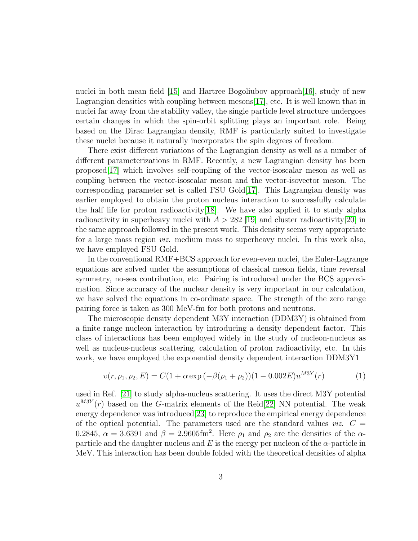nuclei in both mean field  $(15)$  and Hartree Bogoliubov approach  $(16)$ , study of new Lagrangian densities with coupling between mesons[\[17\]](#page-7-6), etc. It is well known that in nuclei far away from the stability valley, the single particle level structure undergoes certain changes in which the spin-orbit splitting plays an important role. Being based on the Dirac Lagrangian density, RMF is particularly suited to investigate these nuclei because it naturally incorporates the spin degrees of freedom.

There exist different variations of the Lagrangian density as well as a number of different parameterizations in RMF. Recently, a new Lagrangian density has been proposed[\[17\]](#page-7-6) which involves self-coupling of the vector-isoscalar meson as well as coupling between the vector-isoscalar meson and the vector-isovector meson. The corresponding parameter set is called FSU Gold[\[17\]](#page-7-6). This Lagrangian density was earlier employed to obtain the proton nucleus interaction to successfully calculate the half life for proton radioactivity[\[18\]](#page-7-7). We have also applied it to study alpha radioactivity in superheavy nuclei with  $A > 282$  [\[19\]](#page-7-8) and cluster radioactivity[\[20\]](#page-7-9) in the same approach followed in the present work. This density seems very appropriate for a large mass region viz. medium mass to superheavy nuclei. In this work also, we have employed FSU Gold.

In the conventional RMF+BCS approach for even-even nuclei, the Euler-Lagrange equations are solved under the assumptions of classical meson fields, time reversal symmetry, no-sea contribution, etc. Pairing is introduced under the BCS approximation. Since accuracy of the nuclear density is very important in our calculation, we have solved the equations in co-ordinate space. The strength of the zero range pairing force is taken as 300 MeV-fm for both protons and neutrons.

The microscopic density dependent M3Y interaction (DDM3Y) is obtained from a finite range nucleon interaction by introducing a density dependent factor. This class of interactions has been employed widely in the study of nucleon-nucleus as well as nucleus-nucleus scattering, calculation of proton radioactivity, etc. In this work, we have employed the exponential density dependent interaction DDM3Y1

$$
v(r, \rho_1, \rho_2, E) = C(1 + \alpha \exp(-\beta(\rho_1 + \rho_2))(1 - 0.002E)u^{M3Y}(r)
$$
(1)

 $\overline{a}$ 

used in Ref. [\[21\]](#page-7-10) to study alpha-nucleus scattering. It uses the direct M3Y potential  $u^{M3Y}(r)$  based on the G-matrix elements of the Reid[\[22\]](#page-7-11) NN potential. The weak energy dependence was introduced[\[23\]](#page-7-12) to reproduce the empirical energy dependence of the optical potential. The parameters used are the standard values *viz.*  $C =$ 0.2845,  $\alpha = 3.6391$  and  $\beta = 2.9605$ fm<sup>2</sup>. Here  $\rho_1$  and  $\rho_2$  are the densities of the  $\alpha$ particle and the daughter nucleus and E is the energy per nucleon of the  $\alpha$ -particle in MeV. This interaction has been double folded with the theoretical densities of alpha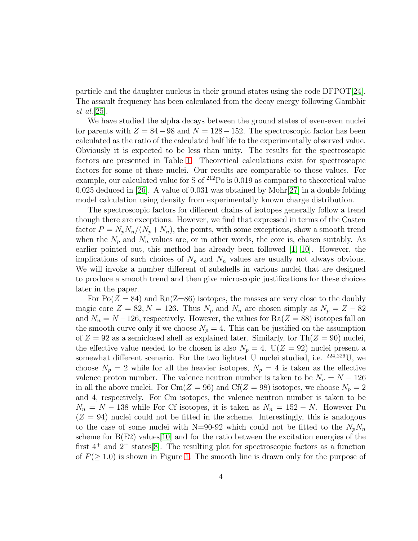particle and the daughter nucleus in their ground states using the code DFPOT[\[24\]](#page-7-13). The assault frequency has been calculated from the decay energy following Gambhir et al.[\[25\]](#page-7-14).

We have studied the alpha decays between the ground states of even-even nuclei for parents with  $Z = 84-98$  and  $N = 128-152$ . The spectroscopic factor has been calculated as the ratio of the calculated half life to the experimentally observed value. Obviously it is expected to be less than unity. The results for the spectroscopic factors are presented in Table [1.](#page-8-0) Theoretical calculations exist for spectroscopic factors for some of these nuclei. Our results are comparable to those values. For example, our calculated value for S of <sup>212</sup>Po is 0.019 as compared to theoretical value 0.025 deduced in [\[26\]](#page-7-15). A value of 0.031 was obtained by Mohr[\[27\]](#page-7-16) in a double folding model calculation using density from experimentally known charge distribution.

The spectroscopic factors for different chains of isotopes generally follow a trend though there are exceptions. However, we find that expressed in terms of the Casten factor  $P = N_p N_n/(N_p + N_n)$ , the points, with some exceptions, show a smooth trend when the  $N_p$  and  $N_n$  values are, or in other words, the core is, chosen suitably. As earlier pointed out, this method has already been followed [\[1,](#page-6-0) [10\]](#page-6-9). However, the implications of such choices of  $N_p$  and  $N_n$  values are usually not always obvious. We will invoke a number different of subshells in various nuclei that are designed to produce a smooth trend and then give microscopic justifications for these choices later in the paper.

For  $Po(Z = 84)$  and  $Rn(Z=86)$  isotopes, the masses are very close to the doubly magic core  $Z = 82, N = 126$ . Thus  $N_p$  and  $N_n$  are chosen simply as  $N_p = Z - 82$ and  $N_n = N - 126$ , respectively. However, the values for  $Ra(Z = 88)$  isotopes fall on the smooth curve only if we choose  $N_p = 4$ . This can be justified on the assumption of  $Z = 92$  as a semiclosed shell as explained later. Similarly, for Th $(Z = 90)$  nuclei, the effective value needed to be chosen is also  $N_p = 4$ .  $U(Z = 92)$  nuclei present a somewhat different scenario. For the two lightest U nuclei studied, i.e. <sup>224</sup>,<sup>226</sup>U, we choose  $N_p = 2$  while for all the heavier isotopes,  $N_p = 4$  is taken as the effective valence proton number. The valence neutron number is taken to be  $N_n = N - 126$ in all the above nuclei. For  $\text{Cm}(Z = 96)$  and  $\text{Cf}(Z = 98)$  isotopes, we choose  $N_p = 2$ and 4, respectively. For Cm isotopes, the valence neutron number is taken to be  $N_n = N - 138$  while For Cf isotopes, it is taken as  $N_n = 152 - N$ . However Pu  $(Z = 94)$  nuclei could not be fitted in the scheme. Interestingly, this is analogous to the case of some nuclei with N=90-92 which could not be fitted to the  $N_pN_n$ scheme for  $B(E2)$  values [\[10\]](#page-6-9) and for the ratio between the excitation energies of the first  $4^+$  and  $2^+$  states [\[8\]](#page-6-7). The resulting plot for spectroscopic factors as a function of  $P(\geq 1.0)$  $P(\geq 1.0)$  $P(\geq 1.0)$  is shown in Figure 1. The smooth line is drawn only for the purpose of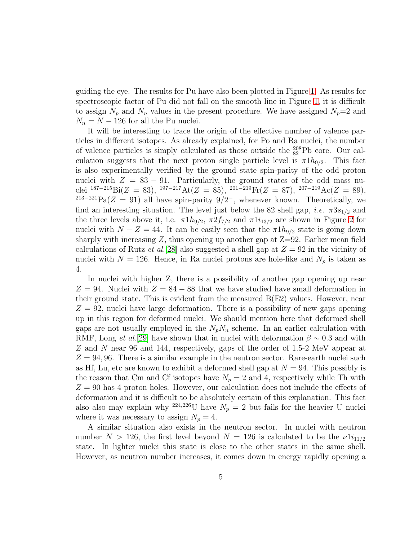guiding the eye. The results for Pu have also been plotted in Figure [1.](#page-9-0) As results for spectroscopic factor of Pu did not fall on the smooth line in Figure [1,](#page-9-0) it is difficult to assign  $N_p$  and  $N_n$  values in the present procedure. We have assigned  $N_p=2$  and  $N_n = N - 126$  for all the Pu nuclei.

It will be interesting to trace the origin of the effective number of valence particles in different isotopes. As already explained, for Po and Ra nuclei, the number of valence particles is simply calculated as those outside the  $^{208}_{82}Pb$  core. Our calculation suggests that the next proton single particle level is  $\pi 1h_{9/2}$ . This fact is also experimentally verified by the ground state spin-parity of the odd proton nuclei with  $Z = 83 - 91$ . Particularly, the ground states of the odd mass nuclei  $^{187-215}Bi(Z = 83)$ ,  $^{197-217}At(Z = 85)$ ,  $^{201-219}Fr(Z = 87)$ ,  $^{207-219}Ac(Z = 89)$ ,  $^{213-221}Pa(Z = 91)$  all have spin-parity  $9/2^-$ , whenever known. Theoretically, we find an interesting situation. The level just below the 82 shell gap, *i.e.*  $\pi 3s_{1/2}$  and the three levels above it, i.e.  $\pi 1h_{9/2}$ ,  $\pi 2f_{7/2}$  $\pi 2f_{7/2}$  $\pi 2f_{7/2}$  and  $\pi 1i_{13/2}$  are shown in Figure 2 for nuclei with  $N - Z = 44$ . It can be easily seen that the  $\pi 1h_{9/2}$  state is going down sharply with increasing Z, thus opening up another gap at  $Z=92$ . Earlier mean field calculations of Rutz *et al.*[\[28\]](#page-7-17) also suggested a shell gap at  $Z = 92$  in the vicinity of nuclei with  $N = 126$ . Hence, in Ra nuclei protons are hole-like and  $N_p$  is taken as 4.

In nuclei with higher Z, there is a possibility of another gap opening up near  $Z = 94$ . Nuclei with  $Z = 84 - 88$  that we have studied have small deformation in their ground state. This is evident from the measured  $B(E2)$  values. However, near  $Z = 92$ , nuclei have large deformation. There is a possibility of new gaps opening up in this region for deformed nuclei. We should mention here that deformed shell gaps are not usually employed in the  $N_pN_n$  scheme. In an earlier calculation with RMF, Long et al.[\[29\]](#page-7-18) have shown that in nuclei with deformation  $\beta \sim 0.3$  and with Z and N near 96 and 144, respectively, gaps of the order of 1.5-2 MeV appear at  $Z = 94, 96$ . There is a similar example in the neutron sector. Rare-earth nuclei such as Hf, Lu, etc are known to exhibit a deformed shell gap at  $N = 94$ . This possibly is the reason that Cm and Cf isotopes have  $N_p = 2$  and 4, respectively while Th with  $Z = 90$  has 4 proton holes. However, our calculation does not include the effects of deformation and it is difficult to be absolutely certain of this explanation. This fact also also may explain why <sup>224,226</sup>U have  $N_p = 2$  but fails for the heavier U nuclei where it was necessary to assign  $N_p = 4$ .

A similar situation also exists in the neutron sector. In nuclei with neutron number  $N > 126$ , the first level beyond  $N = 126$  is calculated to be the  $\nu 1i_{11/2}$ state. In lighter nuclei this state is close to the other states in the same shell. However, as neutron number increases, it comes down in energy rapidly opening a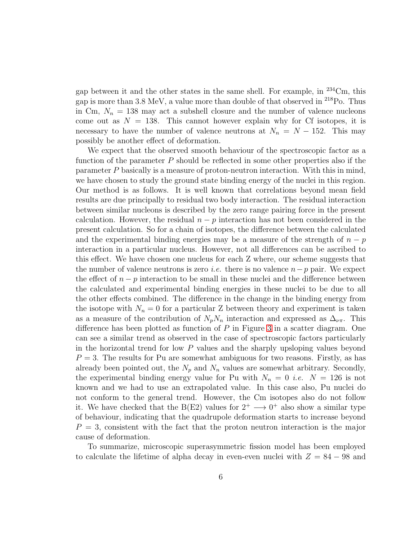gap between it and the other states in the same shell. For example, in <sup>234</sup>Cm, this gap is more than 3.8 MeV, a value more than double of that observed in  $2^{18}$ Po. Thus in Cm,  $N_n = 138$  may act a subshell closure and the number of valence nucleons come out as  $N = 138$ . This cannot however explain why for Cf isotopes, it is necessary to have the number of valence neutrons at  $N_n = N - 152$ . This may possibly be another effect of deformation.

We expect that the observed smooth behaviour of the spectroscopic factor as a function of the parameter  $P$  should be reflected in some other properties also if the parameter P basically is a measure of proton-neutron interaction. With this in mind, we have chosen to study the ground state binding energy of the nuclei in this region. Our method is as follows. It is well known that correlations beyond mean field results are due principally to residual two body interaction. The residual interaction between similar nucleons is described by the zero range pairing force in the present calculation. However, the residual  $n - p$  interaction has not been considered in the present calculation. So for a chain of isotopes, the difference between the calculated and the experimental binding energies may be a measure of the strength of  $n - p$ interaction in a particular nucleus. However, not all differences can be ascribed to this effect. We have chosen one nucleus for each Z where, our scheme suggests that the number of valence neutrons is zero *i.e.* there is no valence  $n-p$  pair. We expect the effect of  $n - p$  interaction to be small in these nuclei and the difference between the calculated and experimental binding energies in these nuclei to be due to all the other effects combined. The difference in the change in the binding energy from the isotope with  $N_n = 0$  for a particular Z between theory and experiment is taken as a measure of the contribution of  $N_pN_n$  interaction and expressed as  $\Delta_{\nu\pi}$ . This difference has been plotted as function of  $P$  in Figure [3](#page-10-0) in a scatter diagram. One can see a similar trend as observed in the case of spectroscopic factors particularly in the horizontal trend for low  $P$  values and the sharply upsloping values beyond  $P = 3$ . The results for Pu are somewhat ambiguous for two reasons. Firstly, as has already been pointed out, the  $N_p$  and  $N_n$  values are somewhat arbitrary. Secondly, the experimental binding energy value for Pu with  $N_n = 0$  *i.e.*  $N = 126$  is not known and we had to use an extrapolated value. In this case also, Pu nuclei do not conform to the general trend. However, the Cm isotopes also do not follow it. We have checked that the B(E2) values for  $2^+ \longrightarrow 0^+$  also show a similar type of behaviour, indicating that the quadrupole deformation starts to increase beyond  $P = 3$ , consistent with the fact that the proton neutron interaction is the major cause of deformation.

To summarize, microscopic superasymmetric fission model has been employed to calculate the lifetime of alpha decay in even-even nuclei with  $Z = 84 - 98$  and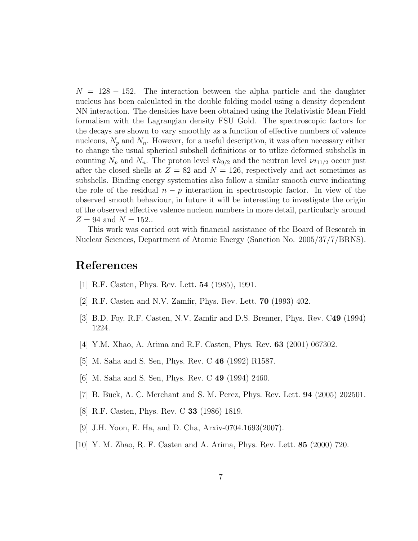$N = 128 - 152$ . The interaction between the alpha particle and the daughter nucleus has been calculated in the double folding model using a density dependent NN interaction. The densities have been obtained using the Relativistic Mean Field formalism with the Lagrangian density FSU Gold. The spectroscopic factors for the decays are shown to vary smoothly as a function of effective numbers of valence nucleons,  $N_p$  and  $N_n$ . However, for a useful description, it was often necessary either to change the usual spherical subshell definitions or to utlize deformed subshells in counting  $N_p$  and  $N_n$ . The proton level  $\pi h_{9/2}$  and the neutron level  $\nu i_{11/2}$  occur just after the closed shells at  $Z = 82$  and  $N = 126$ , respectively and act sometimes as subshells. Binding energy systematics also follow a similar smooth curve indicating the role of the residual  $n - p$  interaction in spectroscopic factor. In view of the observed smooth behaviour, in future it will be interesting to investigate the origin of the observed effective valence nucleon numbers in more detail, particularly around  $Z = 94$  and  $N = 152$ ..

This work was carried out with financial assistance of the Board of Research in Nuclear Sciences, Department of Atomic Energy (Sanction No. 2005/37/7/BRNS).

## <span id="page-6-0"></span>References

- <span id="page-6-1"></span>[1] R.F. Casten, Phys. Rev. Lett. 54 (1985), 1991.
- <span id="page-6-2"></span>[2] R.F. Casten and N.V. Zamfir, Phys. Rev. Lett. 70 (1993) 402.
- <span id="page-6-3"></span>[3] B.D. Foy, R.F. Casten, N.V. Zamfir and D.S. Brenner, Phys. Rev. C49 (1994) 1224.
- <span id="page-6-4"></span>[4] Y.M. Xhao, A. Arima and R.F. Casten, Phys. Rev. 63 (2001) 067302.
- <span id="page-6-5"></span>[5] M. Saha and S. Sen, Phys. Rev. C 46 (1992) R1587.
- <span id="page-6-6"></span>[6] M. Saha and S. Sen, Phys. Rev. C 49 (1994) 2460.
- <span id="page-6-7"></span>[7] B. Buck, A. C. Merchant and S. M. Perez, Phys. Rev. Lett. 94 (2005) 202501.
- <span id="page-6-8"></span>[8] R.F. Casten, Phys. Rev. C 33 (1986) 1819.
- <span id="page-6-9"></span>[9] J.H. Yoon, E. Ha, and D. Cha, Arxiv-0704.1693(2007).
- [10] Y. M. Zhao, R. F. Casten and A. Arima, Phys. Rev. Lett. 85 (2000) 720.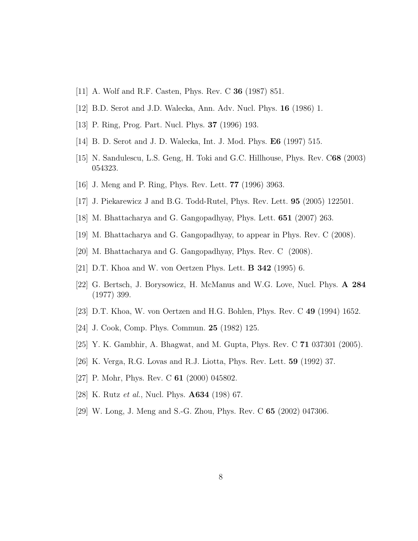- <span id="page-7-1"></span><span id="page-7-0"></span>[11] A. Wolf and R.F. Casten, Phys. Rev. C 36 (1987) 851.
- <span id="page-7-2"></span>[12] B.D. Serot and J.D. Walecka, Ann. Adv. Nucl. Phys. 16 (1986) 1.
- <span id="page-7-3"></span>[13] P. Ring, Prog. Part. Nucl. Phys. 37 (1996) 193.
- <span id="page-7-4"></span>[14] B. D. Serot and J. D. Walecka, Int. J. Mod. Phys. E6 (1997) 515.
- <span id="page-7-5"></span>[15] N. Sandulescu, L.S. Geng, H. Toki and G.C. Hillhouse, Phys. Rev. C68 (2003) 054323.
- <span id="page-7-6"></span>[16] J. Meng and P. Ring, Phys. Rev. Lett. 77 (1996) 3963.
- <span id="page-7-7"></span>[17] J. Piekarewicz J and B.G. Todd-Rutel, Phys. Rev. Lett. 95 (2005) 122501.
- <span id="page-7-8"></span>[18] M. Bhattacharya and G. Gangopadhyay, Phys. Lett. 651 (2007) 263.
- <span id="page-7-9"></span>[19] M. Bhattacharya and G. Gangopadhyay, to appear in Phys. Rev. C (2008).
- <span id="page-7-10"></span>[20] M. Bhattacharya and G. Gangopadhyay, Phys. Rev. C (2008).
- <span id="page-7-11"></span>[21] D.T. Khoa and W. von Oertzen Phys. Lett. B 342 (1995) 6.
- [22] G. Bertsch, J. Borysowicz, H. McManus and W.G. Love, Nucl. Phys. A 284 (1977) 399.
- <span id="page-7-13"></span><span id="page-7-12"></span>[23] D.T. Khoa, W. von Oertzen and H.G. Bohlen, Phys. Rev. C 49 (1994) 1652.
- <span id="page-7-14"></span>[24] J. Cook, Comp. Phys. Commun. 25 (1982) 125.
- <span id="page-7-15"></span>[25] Y. K. Gambhir, A. Bhagwat, and M. Gupta, Phys. Rev. C 71 037301 (2005).
- <span id="page-7-16"></span>[26] K. Verga, R.G. Lovas and R.J. Liotta, Phys. Rev. Lett. 59 (1992) 37.
- <span id="page-7-17"></span>[27] P. Mohr, Phys. Rev. C **61** (2000) 045802.
- <span id="page-7-18"></span>[28] K. Rutz et al., Nucl. Phys. A634 (198) 67.
- [29] W. Long, J. Meng and S.-G. Zhou, Phys. Rev. C 65 (2002) 047306.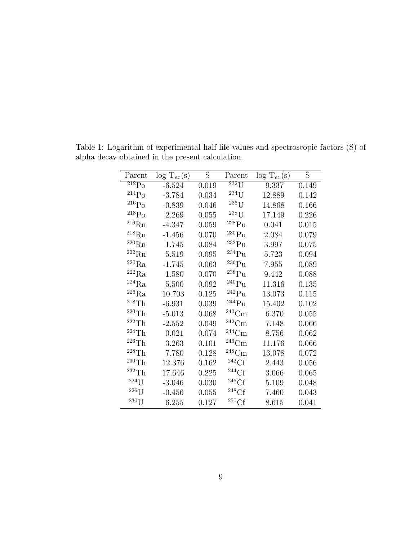<span id="page-8-0"></span>

| Parent                | $\log T_{ex}(s)$ | S     | Parent              | $\log T_{ex}(s)$ | S     |
|-----------------------|------------------|-------|---------------------|------------------|-------|
| $^{212}Po$            | $-6.524$         | 0.019 | $232$ [J            | 9.337            | 0.149 |
| $^{214}Po$            | $-3.784$         | 0.034 | $234$ U             | 12.889           | 0.142 |
| $\rm ^{216}Po$        | $-0.839$         | 0.046 | $236$ U             | 14.868           | 0.166 |
| $^{218}Po$            | 2.269            | 0.055 | $^{238}$ U          | 17.149           | 0.226 |
| $^{216}\mathrm{Rn}$   | $-4.347$         | 0.059 | $^{228}Pu$          | 0.041            | 0.015 |
| $^{218}\mathrm{Rn}$   | $-1.456$         | 0.070 | $^{230}Pu$          | 2.084            | 0.079 |
| $^{220}\mathrm{Rn}$   | 1.745            | 0.084 | $^{232}Pu$          | 3.997            | 0.075 |
| $^{222}\mathrm{Rn}$   | 5.519            | 0.095 | $^{234}Pu$          | 5.723            | 0.094 |
| $^{220}\mathrm{Ra}$   | $-1.745$         | 0.063 | $^{236}Pu$          | 7.955            | 0.089 |
| $^{222}\mathrm{Ra}$   | 1.580            | 0.070 | $^{238}Pu$          | 9.442            | 0.088 |
| $^{224}\mathrm{Ra}$   | 5.500            | 0.092 | $^{240}Pu$          | 11.316           | 0.135 |
| $^{226}\mathrm{Ra}$   | 10.703           | 0.125 | $^{242}Pu$          | 13.073           | 0.115 |
| ${}^{218}\mathrm{Th}$ | $-6.931$         | 0.039 | $^{244}Pu$          | 15.402           | 0.102 |
| $^{220}\mathrm{Th}$   | $-5.013$         | 0.068 | $^{240}\mathrm{Cm}$ | 6.370            | 0.055 |
| ${}^{222}\mathrm{Th}$ | $-2.552$         | 0.049 | $\rm ^{242}Cm$      | 7.148            | 0.066 |
| $224$ Th              | 0.021            | 0.074 | $^{244}$ Cm         | 8.756            | 0.062 |
| $^{226}\mathrm{Th}$   | 3.263            | 0.101 | $^{246}\mathrm{Cm}$ | 11.176           | 0.066 |
| ${}^{228}Th$          | 7.780            | 0.128 | $^{248}$ Cm         | 13.078           | 0.072 |
| ${}^{230}Th$          | 12.376           | 0.162 | 242Cf               | 2.443            | 0.056 |
| ${}^{232}Th$          | 17.646           | 0.225 | $^{244}\mathrm{Cf}$ | 3.066            | 0.065 |
| $224$ U               | $-3.046$         | 0.030 | 246Cf               | 5.109            | 0.048 |
| $226$ U               | $-0.456$         | 0.055 | 248Cf               | 7.460            | 0.043 |
| $230$ U               | 6.255            | 0.127 | 250Cf               | 8.615            | 0.041 |

Table 1: Logarithm of experimental half life values and spectroscopic factors (S) of alpha decay obtained in the present calculation.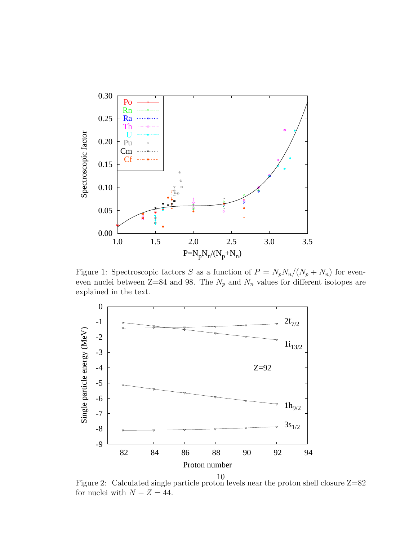

<span id="page-9-0"></span>Figure 1: Spectroscopic factors S as a function of  $P = N_p N_n/(N_p + N_n)$  for eveneven nuclei between Z=84 and 98. The  $N_p$  and  $N_n$  values for different isotopes are explained in the text.



<span id="page-9-1"></span>Figure 2: Calculated single particle proton levels near the proton shell closure Z=82 for nuclei with  $N - Z = 44$ .